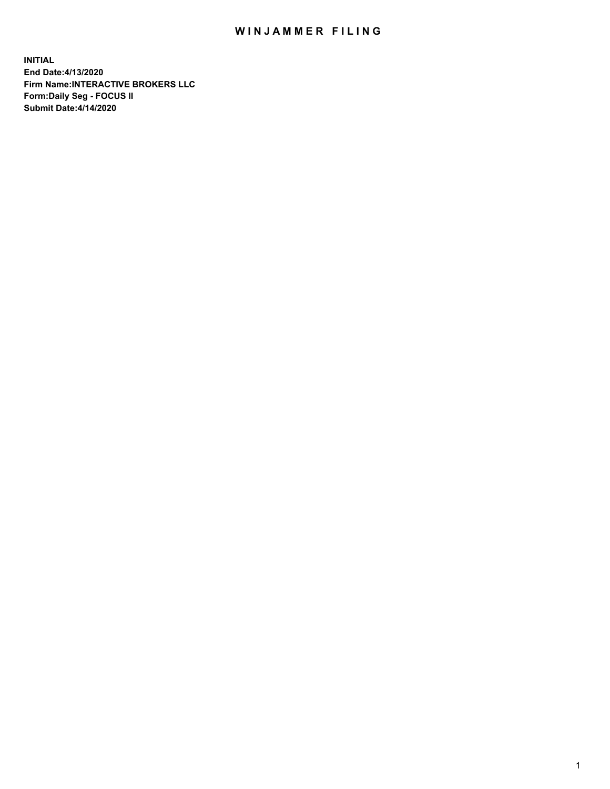## WIN JAMMER FILING

**INITIAL End Date:4/13/2020 Firm Name:INTERACTIVE BROKERS LLC Form:Daily Seg - FOCUS II Submit Date:4/14/2020**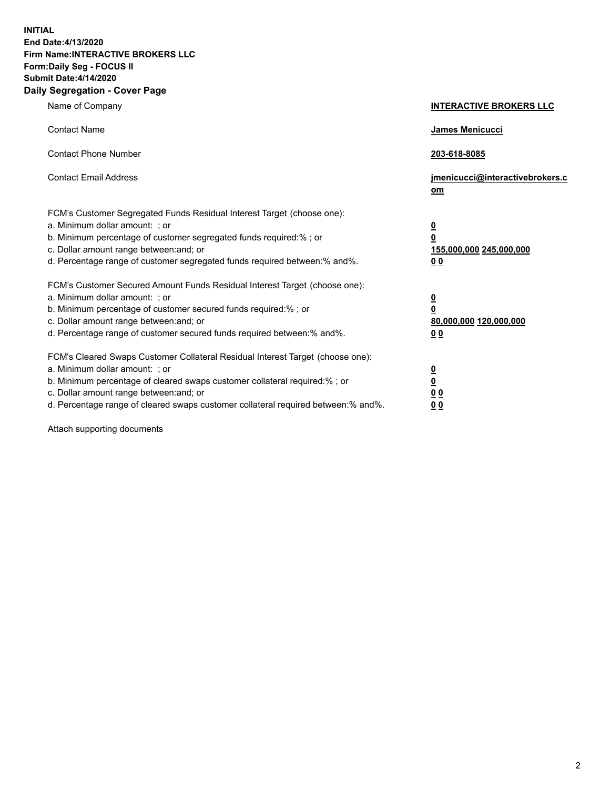**INITIAL End Date:4/13/2020 Firm Name:INTERACTIVE BROKERS LLC Form:Daily Seg - FOCUS II Submit Date:4/14/2020 Daily Segregation - Cover Page**

| Name of Company                                                                                                                                                                                                                                                                                                                | <b>INTERACTIVE BROKERS LLC</b>                                                                  |
|--------------------------------------------------------------------------------------------------------------------------------------------------------------------------------------------------------------------------------------------------------------------------------------------------------------------------------|-------------------------------------------------------------------------------------------------|
| <b>Contact Name</b>                                                                                                                                                                                                                                                                                                            | <b>James Menicucci</b>                                                                          |
| <b>Contact Phone Number</b>                                                                                                                                                                                                                                                                                                    | 203-618-8085                                                                                    |
| <b>Contact Email Address</b>                                                                                                                                                                                                                                                                                                   | jmenicucci@interactivebrokers.c<br><u>om</u>                                                    |
| FCM's Customer Segregated Funds Residual Interest Target (choose one):<br>a. Minimum dollar amount: ; or<br>b. Minimum percentage of customer segregated funds required:%; or<br>c. Dollar amount range between: and; or<br>d. Percentage range of customer segregated funds required between:% and%.                          | $\overline{\mathbf{0}}$<br>$\overline{\mathbf{0}}$<br>155,000,000 245,000,000<br>0 <sub>0</sub> |
| FCM's Customer Secured Amount Funds Residual Interest Target (choose one):<br>a. Minimum dollar amount: ; or<br>b. Minimum percentage of customer secured funds required:%; or<br>c. Dollar amount range between: and; or<br>d. Percentage range of customer secured funds required between:% and%.                            | $\overline{\mathbf{0}}$<br>$\overline{\mathbf{0}}$<br>80,000,000 120,000,000<br>0 <sub>0</sub>  |
| FCM's Cleared Swaps Customer Collateral Residual Interest Target (choose one):<br>a. Minimum dollar amount: ; or<br>b. Minimum percentage of cleared swaps customer collateral required:% ; or<br>c. Dollar amount range between: and; or<br>d. Percentage range of cleared swaps customer collateral required between:% and%. | $\overline{\mathbf{0}}$<br>$\underline{\mathbf{0}}$<br>$\underline{0}$ $\underline{0}$<br>00    |

Attach supporting documents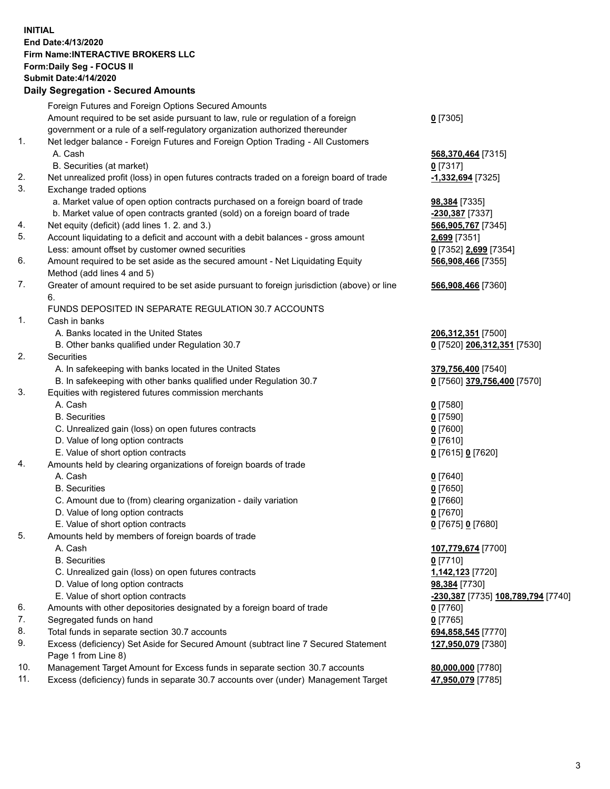## **INITIAL End Date:4/13/2020 Firm Name:INTERACTIVE BROKERS LLC Form:Daily Seg - FOCUS II Submit Date:4/14/2020 Daily Segregation - Secured Amounts**

|     | Dany Segregation - Secured Amounts                                                          |                                           |
|-----|---------------------------------------------------------------------------------------------|-------------------------------------------|
|     | Foreign Futures and Foreign Options Secured Amounts                                         |                                           |
|     | Amount required to be set aside pursuant to law, rule or regulation of a foreign            | $0$ [7305]                                |
|     | government or a rule of a self-regulatory organization authorized thereunder                |                                           |
| 1.  | Net ledger balance - Foreign Futures and Foreign Option Trading - All Customers             |                                           |
|     | A. Cash                                                                                     | 568,370,464 [7315]                        |
|     | B. Securities (at market)                                                                   | $0$ [7317]                                |
| 2.  | Net unrealized profit (loss) in open futures contracts traded on a foreign board of trade   | -1,332,694 [7325]                         |
| 3.  | Exchange traded options                                                                     |                                           |
|     | a. Market value of open option contracts purchased on a foreign board of trade              | 98,384 [7335]                             |
|     | b. Market value of open contracts granted (sold) on a foreign board of trade                | -230,387 [7337]                           |
| 4.  | Net equity (deficit) (add lines 1. 2. and 3.)                                               | 566,905,767 [7345]                        |
| 5.  | Account liquidating to a deficit and account with a debit balances - gross amount           | 2,699 [7351]                              |
|     | Less: amount offset by customer owned securities                                            | 0 [7352] 2,699 [7354]                     |
| 6.  | Amount required to be set aside as the secured amount - Net Liquidating Equity              | 566,908,466 [7355]                        |
|     | Method (add lines 4 and 5)                                                                  |                                           |
| 7.  | Greater of amount required to be set aside pursuant to foreign jurisdiction (above) or line | 566,908,466 [7360]                        |
|     | 6.                                                                                          |                                           |
|     | FUNDS DEPOSITED IN SEPARATE REGULATION 30.7 ACCOUNTS                                        |                                           |
| 1.  | Cash in banks                                                                               |                                           |
|     | A. Banks located in the United States                                                       | 206,312,351 [7500]                        |
|     | B. Other banks qualified under Regulation 30.7                                              | 0 [7520] 206,312,351 [7530]               |
| 2.  | Securities                                                                                  |                                           |
|     | A. In safekeeping with banks located in the United States                                   | 379,756,400 [7540]                        |
|     | B. In safekeeping with other banks qualified under Regulation 30.7                          | 0 [7560] 379,756,400 [7570]               |
| 3.  | Equities with registered futures commission merchants                                       |                                           |
|     | A. Cash                                                                                     | $0$ [7580]                                |
|     | <b>B.</b> Securities                                                                        | $0$ [7590]                                |
|     | C. Unrealized gain (loss) on open futures contracts                                         | $0$ [7600]                                |
|     | D. Value of long option contracts                                                           | $0$ [7610]                                |
|     | E. Value of short option contracts                                                          | 0 [7615] 0 [7620]                         |
| 4.  | Amounts held by clearing organizations of foreign boards of trade                           |                                           |
|     | A. Cash                                                                                     | $0$ [7640]                                |
|     | <b>B.</b> Securities                                                                        | $0$ [7650]                                |
|     | C. Amount due to (from) clearing organization - daily variation                             | $0$ [7660]                                |
|     | D. Value of long option contracts                                                           | $0$ [7670]                                |
|     | E. Value of short option contracts                                                          | 0 [7675] 0 [7680]                         |
| 5.  | Amounts held by members of foreign boards of trade                                          |                                           |
|     | A. Cash                                                                                     | 107,779,674 [7700]                        |
|     | <b>B.</b> Securities                                                                        | $0$ [7710]                                |
|     | C. Unrealized gain (loss) on open futures contracts                                         | 1,142,123 [7720]                          |
|     | D. Value of long option contracts                                                           | 98,384 [7730]                             |
|     | E. Value of short option contracts                                                          | <u>-230,387</u> [7735] 108,789,794 [7740] |
| 6.  | Amounts with other depositories designated by a foreign board of trade                      | $0$ [7760]                                |
| 7.  | Segregated funds on hand                                                                    | $0$ [7765]                                |
| 8.  | Total funds in separate section 30.7 accounts                                               | 694,858,545 [7770]                        |
| 9.  | Excess (deficiency) Set Aside for Secured Amount (subtract line 7 Secured Statement         | 127,950,079 [7380]                        |
|     | Page 1 from Line 8)                                                                         |                                           |
| 10. | Management Target Amount for Excess funds in separate section 30.7 accounts                 | 80,000,000 [7780]                         |
| 11. | Excess (deficiency) funds in separate 30.7 accounts over (under) Management Target          | 47,950,079 [7785]                         |
|     |                                                                                             |                                           |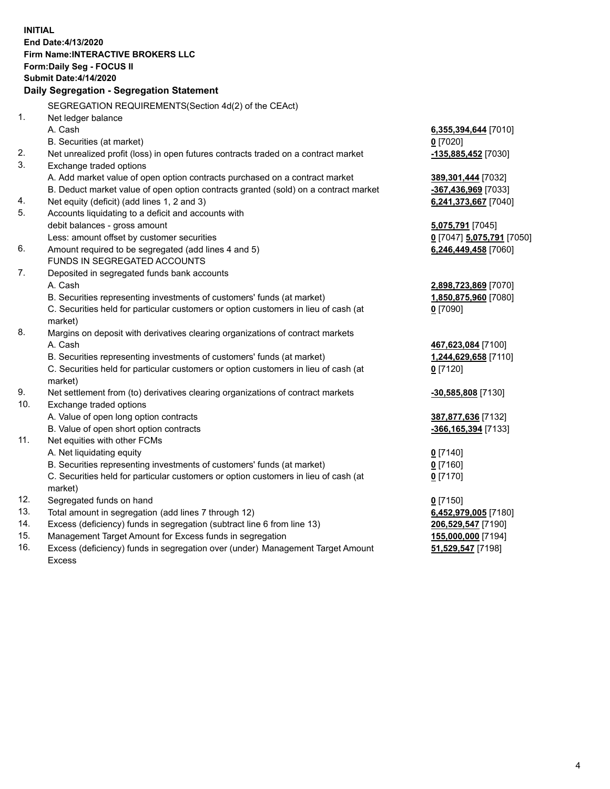**INITIAL End Date:4/13/2020 Firm Name:INTERACTIVE BROKERS LLC Form:Daily Seg - FOCUS II Submit Date:4/14/2020 Daily Segregation - Segregation Statement** SEGREGATION REQUIREMENTS(Section 4d(2) of the CEAct) 1. Net ledger balance A. Cash **6,355,394,644** [7010] B. Securities (at market) **0** [7020] 2. Net unrealized profit (loss) in open futures contracts traded on a contract market **-135,885,452** [7030] 3. Exchange traded options A. Add market value of open option contracts purchased on a contract market **389,301,444** [7032] B. Deduct market value of open option contracts granted (sold) on a contract market **-367,436,969** [7033] 4. Net equity (deficit) (add lines 1, 2 and 3) **6,241,373,667** [7040] 5. Accounts liquidating to a deficit and accounts with debit balances - gross amount **5,075,791** [7045] Less: amount offset by customer securities **0** [7047] **5,075,791** [7050] 6. Amount required to be segregated (add lines 4 and 5) **6,246,449,458** [7060] FUNDS IN SEGREGATED ACCOUNTS 7. Deposited in segregated funds bank accounts A. Cash **2,898,723,869** [7070] B. Securities representing investments of customers' funds (at market) **1,850,875,960** [7080] C. Securities held for particular customers or option customers in lieu of cash (at market) **0** [7090] 8. Margins on deposit with derivatives clearing organizations of contract markets A. Cash **467,623,084** [7100] B. Securities representing investments of customers' funds (at market) **1,244,629,658** [7110] C. Securities held for particular customers or option customers in lieu of cash (at market) **0** [7120] 9. Net settlement from (to) derivatives clearing organizations of contract markets **-30,585,808** [7130] 10. Exchange traded options A. Value of open long option contracts **387,877,636** [7132] B. Value of open short option contracts **-366,165,394** [7133] 11. Net equities with other FCMs A. Net liquidating equity **0** [7140] B. Securities representing investments of customers' funds (at market) **0** [7160] C. Securities held for particular customers or option customers in lieu of cash (at market) **0** [7170] 12. Segregated funds on hand **0** [7150] 13. Total amount in segregation (add lines 7 through 12) **6,452,979,005** [7180] 14. Excess (deficiency) funds in segregation (subtract line 6 from line 13) **206,529,547** [7190] 15. Management Target Amount for Excess funds in segregation **155,000,000** [7194] 16. Excess (deficiency) funds in segregation over (under) Management Target Amount **51,529,547** [7198]

Excess